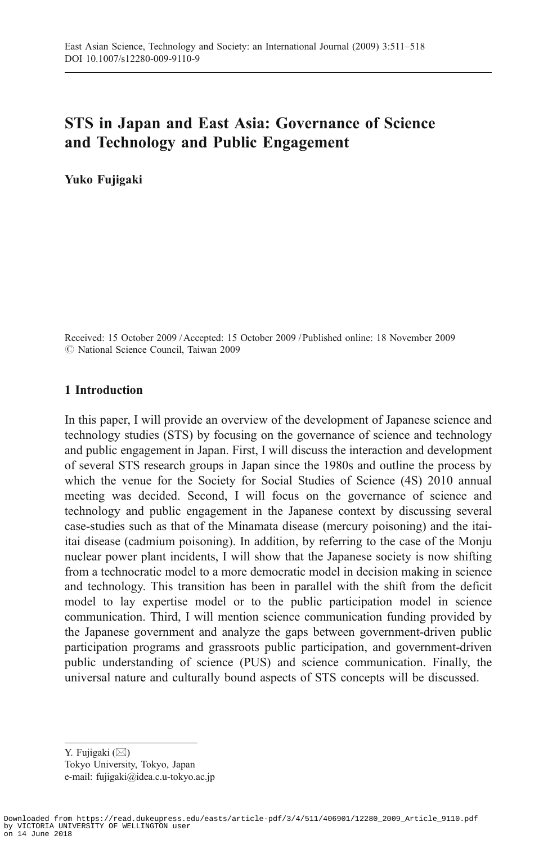# STS in Japan and East Asia: Governance of Science and Technology and Public Engagement

Yuko Fujigaki

Received: 15 October 2009 / Accepted: 15 October 2009 / Published online: 18 November 2009  $\oslash$  National Science Council, Taiwan 2009

# 1 Introduction

In this paper, I will provide an overview of the development of Japanese science and technology studies (STS) by focusing on the governance of science and technology and public engagement in Japan. First, I will discuss the interaction and development of several STS research groups in Japan since the 1980s and outline the process by which the venue for the Society for Social Studies of Science (4S) 2010 annual meeting was decided. Second, I will focus on the governance of science and technology and public engagement in the Japanese context by discussing several case-studies such as that of the Minamata disease (mercury poisoning) and the itaiitai disease (cadmium poisoning). In addition, by referring to the case of the Monju nuclear power plant incidents, I will show that the Japanese society is now shifting from a technocratic model to a more democratic model in decision making in science and technology. This transition has been in parallel with the shift from the deficit model to lay expertise model or to the public participation model in science communication. Third, I will mention science communication funding provided by the Japanese government and analyze the gaps between government-driven public participation programs and grassroots public participation, and government-driven public understanding of science (PUS) and science communication. Finally, the universal nature and culturally bound aspects of STS concepts will be discussed.

Y. Fujigaki (*\**) Tokyo University, Tokyo, Japan

e-mail: fujigaki@idea.c.u-tokyo.ac.jp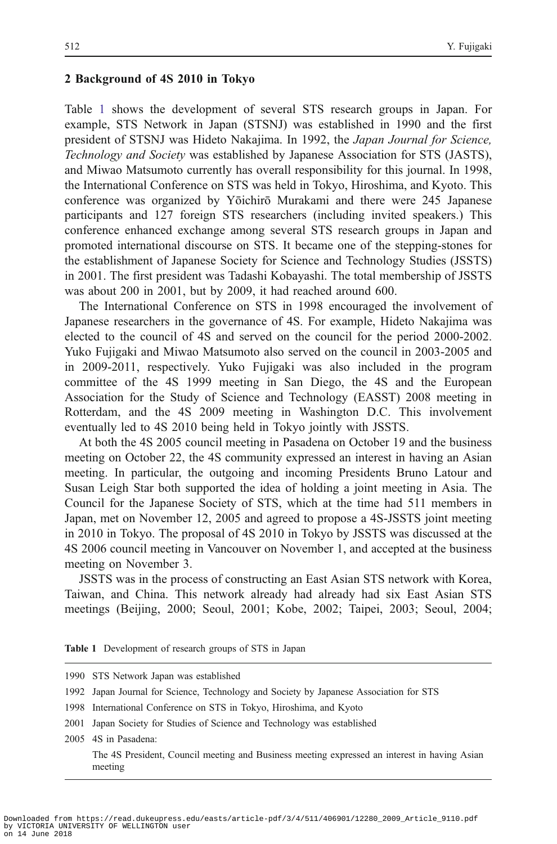#### 2 Background of 4S 2010 in Tokyo

Table 1 shows the development of several STS research groups in Japan. For example, STS Network in Japan (STSNJ) was established in 1990 and the first president of STSNJ was Hideto Nakajima. In 1992, the Japan Journal for Science, Technology and Society was established by Japanese Association for STS (JASTS), and Miwao Matsumoto currently has overall responsibility for this journal. In 1998, the International Conference on STS was held in Tokyo, Hiroshima, and Kyoto. This conference was organized by Yōichirō Murakami and there were 245 Japanese participants and 127 foreign STS researchers (including invited speakers.) This conference enhanced exchange among several STS research groups in Japan and promoted international discourse on STS. It became one of the stepping-stones for the establishment of Japanese Society for Science and Technology Studies (JSSTS) in 2001. The first president was Tadashi Kobayashi. The total membership of JSSTS was about 200 in 2001, but by 2009, it had reached around 600.

The International Conference on STS in 1998 encouraged the involvement of Japanese researchers in the governance of 4S. For example, Hideto Nakajima was elected to the council of 4S and served on the council for the period 2000-2002. Yuko Fujigaki and Miwao Matsumoto also served on the council in 2003-2005 and in 2009-2011, respectively. Yuko Fujigaki was also included in the program committee of the 4S 1999 meeting in San Diego, the 4S and the European Association for the Study of Science and Technology (EASST) 2008 meeting in Rotterdam, and the 4S 2009 meeting in Washington D.C. This involvement eventually led to 4S 2010 being held in Tokyo jointly with JSSTS.

At both the 4S 2005 council meeting in Pasadena on October 19 and the business meeting on October 22, the 4S community expressed an interest in having an Asian meeting. In particular, the outgoing and incoming Presidents Bruno Latour and Susan Leigh Star both supported the idea of holding a joint meeting in Asia. The Council for the Japanese Society of STS, which at the time had 511 members in Japan, met on November 12, 2005 and agreed to propose a 4S-JSSTS joint meeting in 2010 in Tokyo. The proposal of 4S 2010 in Tokyo by JSSTS was discussed at the 4S 2006 council meeting in Vancouver on November 1, and accepted at the business meeting on November 3.

JSSTS was in the process of constructing an East Asian STS network with Korea, Taiwan, and China. This network already had already had six East Asian STS meetings (Beijing, 2000; Seoul, 2001; Kobe, 2002; Taipei, 2003; Seoul, 2004;

|  | Table 1 Development of research groups of STS in Japan |  |  |  |  |
|--|--------------------------------------------------------|--|--|--|--|
|--|--------------------------------------------------------|--|--|--|--|

1990 STS Network Japan was established

- 1998 International Conference on STS in Tokyo, Hiroshima, and Kyoto
- 2001 Japan Society for Studies of Science and Technology was established
- 2005 4S in Pasadena:

The 4S President, Council meeting and Business meeting expressed an interest in having Asian meeting

<sup>1992</sup> Japan Journal for Science, Technology and Society by Japanese Association for STS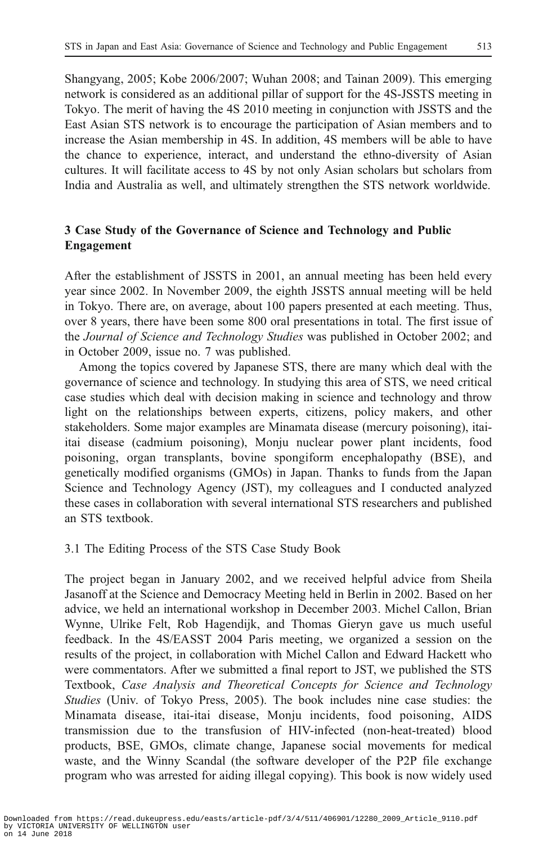Shangyang, 2005; Kobe 2006/2007; Wuhan 2008; and Tainan 2009). This emerging network is considered as an additional pillar of support for the 4S-JSSTS meeting in Tokyo. The merit of having the 4S 2010 meeting in conjunction with JSSTS and the East Asian STS network is to encourage the participation of Asian members and to increase the Asian membership in 4S. In addition, 4S members will be able to have the chance to experience, interact, and understand the ethno-diversity of Asian cultures. It will facilitate access to 4S by not only Asian scholars but scholars from India and Australia as well, and ultimately strengthen the STS network worldwide.

# 3 Case Study of the Governance of Science and Technology and Public Engagement

After the establishment of JSSTS in 2001, an annual meeting has been held every year since 2002. In November 2009, the eighth JSSTS annual meeting will be held in Tokyo. There are, on average, about 100 papers presented at each meeting. Thus, over 8 years, there have been some 800 oral presentations in total. The first issue of the Journal of Science and Technology Studies was published in October 2002; and in October 2009, issue no. 7 was published.

Among the topics covered by Japanese STS, there are many which deal with the governance of science and technology. In studying this area of STS, we need critical case studies which deal with decision making in science and technology and throw light on the relationships between experts, citizens, policy makers, and other stakeholders. Some major examples are Minamata disease (mercury poisoning), itaiitai disease (cadmium poisoning), Monju nuclear power plant incidents, food poisoning, organ transplants, bovine spongiform encephalopathy (BSE), and genetically modified organisms (GMOs) in Japan. Thanks to funds from the Japan Science and Technology Agency (JST), my colleagues and I conducted analyzed these cases in collaboration with several international STS researchers and published an STS textbook.

3.1 The Editing Process of the STS Case Study Book

The project began in January 2002, and we received helpful advice from Sheila Jasanoff at the Science and Democracy Meeting held in Berlin in 2002. Based on her advice, we held an international workshop in December 2003. Michel Callon, Brian Wynne, Ulrike Felt, Rob Hagendijk, and Thomas Gieryn gave us much useful feedback. In the 4S/EASST 2004 Paris meeting, we organized a session on the results of the project, in collaboration with Michel Callon and Edward Hackett who were commentators. After we submitted a final report to JST, we published the STS Textbook, Case Analysis and Theoretical Concepts for Science and Technology Studies (Univ. of Tokyo Press, 2005). The book includes nine case studies: the Minamata disease, itai-itai disease, Monju incidents, food poisoning, AIDS transmission due to the transfusion of HIV-infected (non-heat-treated) blood products, BSE, GMOs, climate change, Japanese social movements for medical waste, and the Winny Scandal (the software developer of the P2P file exchange program who was arrested for aiding illegal copying). This book is now widely used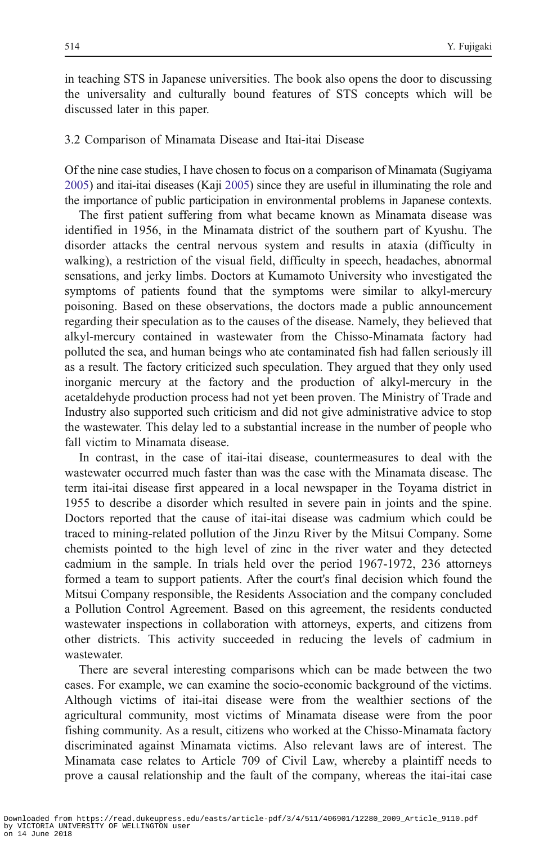in teaching STS in Japanese universities. The book also opens the door to discussing the universality and culturally bound features of STS concepts which will be discussed later in this paper.

#### 3.2 Comparison of Minamata Disease and Itai-itai Disease

Of the nine case studies, I have chosen to focus on a comparison of Minamata (Sugiyama [2005](#page-7-0)) and itai-itai diseases (Kaji [2005\)](#page-7-0) since they are useful in illuminating the role and the importance of public participation in environmental problems in Japanese contexts.

The first patient suffering from what became known as Minamata disease was identified in 1956, in the Minamata district of the southern part of Kyushu. The disorder attacks the central nervous system and results in ataxia (difficulty in walking), a restriction of the visual field, difficulty in speech, headaches, abnormal sensations, and jerky limbs. Doctors at Kumamoto University who investigated the symptoms of patients found that the symptoms were similar to alkyl-mercury poisoning. Based on these observations, the doctors made a public announcement regarding their speculation as to the causes of the disease. Namely, they believed that alkyl-mercury contained in wastewater from the Chisso-Minamata factory had polluted the sea, and human beings who ate contaminated fish had fallen seriously ill as a result. The factory criticized such speculation. They argued that they only used inorganic mercury at the factory and the production of alkyl-mercury in the acetaldehyde production process had not yet been proven. The Ministry of Trade and Industry also supported such criticism and did not give administrative advice to stop the wastewater. This delay led to a substantial increase in the number of people who fall victim to Minamata disease.

In contrast, in the case of itai-itai disease, countermeasures to deal with the wastewater occurred much faster than was the case with the Minamata disease. The term itai-itai disease first appeared in a local newspaper in the Toyama district in 1955 to describe a disorder which resulted in severe pain in joints and the spine. Doctors reported that the cause of itai-itai disease was cadmium which could be traced to mining-related pollution of the Jinzu River by the Mitsui Company. Some chemists pointed to the high level of zinc in the river water and they detected cadmium in the sample. In trials held over the period 1967-1972, 236 attorneys formed a team to support patients. After the court's final decision which found the Mitsui Company responsible, the Residents Association and the company concluded a Pollution Control Agreement. Based on this agreement, the residents conducted wastewater inspections in collaboration with attorneys, experts, and citizens from other districts. This activity succeeded in reducing the levels of cadmium in wastewater.

There are several interesting comparisons which can be made between the two cases. For example, we can examine the socio-economic background of the victims. Although victims of itai-itai disease were from the wealthier sections of the agricultural community, most victims of Minamata disease were from the poor fishing community. As a result, citizens who worked at the Chisso-Minamata factory discriminated against Minamata victims. Also relevant laws are of interest. The Minamata case relates to Article 709 of Civil Law, whereby a plaintiff needs to prove a causal relationship and the fault of the company, whereas the itai-itai case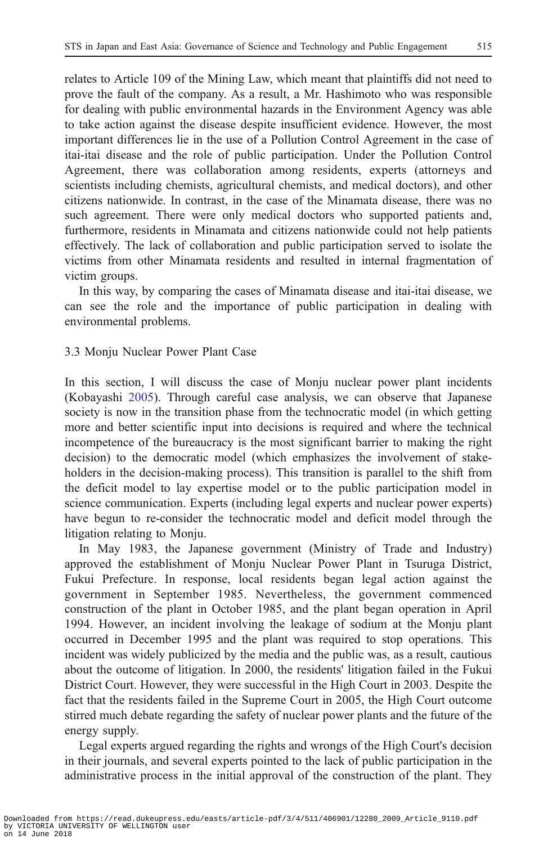relates to Article 109 of the Mining Law, which meant that plaintiffs did not need to prove the fault of the company. As a result, a Mr. Hashimoto who was responsible for dealing with public environmental hazards in the Environment Agency was able to take action against the disease despite insufficient evidence. However, the most important differences lie in the use of a Pollution Control Agreement in the case of itai-itai disease and the role of public participation. Under the Pollution Control Agreement, there was collaboration among residents, experts (attorneys and scientists including chemists, agricultural chemists, and medical doctors), and other citizens nationwide. In contrast, in the case of the Minamata disease, there was no such agreement. There were only medical doctors who supported patients and, furthermore, residents in Minamata and citizens nationwide could not help patients effectively. The lack of collaboration and public participation served to isolate the victims from other Minamata residents and resulted in internal fragmentation of victim groups.

In this way, by comparing the cases of Minamata disease and itai-itai disease, we can see the role and the importance of public participation in dealing with environmental problems.

### 3.3 Monju Nuclear Power Plant Case

In this section, I will discuss the case of Monju nuclear power plant incidents (Kobayashi [2005](#page-7-0)). Through careful case analysis, we can observe that Japanese society is now in the transition phase from the technocratic model (in which getting more and better scientific input into decisions is required and where the technical incompetence of the bureaucracy is the most significant barrier to making the right decision) to the democratic model (which emphasizes the involvement of stakeholders in the decision-making process). This transition is parallel to the shift from the deficit model to lay expertise model or to the public participation model in science communication. Experts (including legal experts and nuclear power experts) have begun to re-consider the technocratic model and deficit model through the litigation relating to Monju.

In May 1983, the Japanese government (Ministry of Trade and Industry) approved the establishment of Monju Nuclear Power Plant in Tsuruga District, Fukui Prefecture. In response, local residents began legal action against the government in September 1985. Nevertheless, the government commenced construction of the plant in October 1985, and the plant began operation in April 1994. However, an incident involving the leakage of sodium at the Monju plant occurred in December 1995 and the plant was required to stop operations. This incident was widely publicized by the media and the public was, as a result, cautious about the outcome of litigation. In 2000, the residents' litigation failed in the Fukui District Court. However, they were successful in the High Court in 2003. Despite the fact that the residents failed in the Supreme Court in 2005, the High Court outcome stirred much debate regarding the safety of nuclear power plants and the future of the energy supply.

Legal experts argued regarding the rights and wrongs of the High Court's decision in their journals, and several experts pointed to the lack of public participation in the administrative process in the initial approval of the construction of the plant. They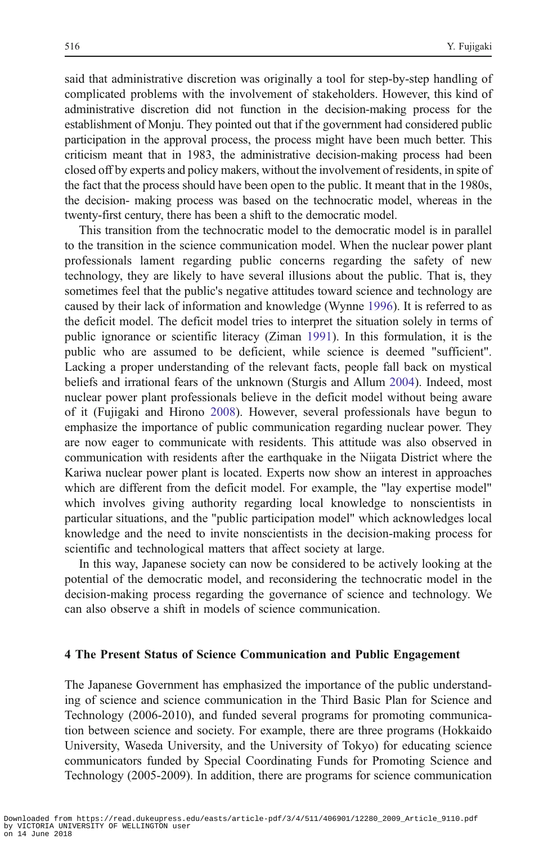said that administrative discretion was originally a tool for step-by-step handling of complicated problems with the involvement of stakeholders. However, this kind of administrative discretion did not function in the decision-making process for the establishment of Monju. They pointed out that if the government had considered public participation in the approval process, the process might have been much better. This criticism meant that in 1983, the administrative decision-making process had been closed off by experts and policy makers, without the involvement of residents, in spite of the fact that the process should have been open to the public. It meant that in the 1980s, the decision- making process was based on the technocratic model, whereas in the twenty-first century, there has been a shift to the democratic model.

This transition from the technocratic model to the democratic model is in parallel to the transition in the science communication model. When the nuclear power plant professionals lament regarding public concerns regarding the safety of new technology, they are likely to have several illusions about the public. That is, they sometimes feel that the public's negative attitudes toward science and technology are caused by their lack of information and knowledge (Wynne [1996](#page-7-0)). It is referred to as the deficit model. The deficit model tries to interpret the situation solely in terms of public ignorance or scientific literacy (Ziman [1991](#page-7-0)). In this formulation, it is the public who are assumed to be deficient, while science is deemed "sufficient". Lacking a proper understanding of the relevant facts, people fall back on mystical beliefs and irrational fears of the unknown (Sturgis and Allum [2004](#page-7-0)). Indeed, most nuclear power plant professionals believe in the deficit model without being aware of it (Fujigaki and Hirono [2008](#page-7-0)). However, several professionals have begun to emphasize the importance of public communication regarding nuclear power. They are now eager to communicate with residents. This attitude was also observed in communication with residents after the earthquake in the Niigata District where the Kariwa nuclear power plant is located. Experts now show an interest in approaches which are different from the deficit model. For example, the "lay expertise model" which involves giving authority regarding local knowledge to nonscientists in particular situations, and the "public participation model" which acknowledges local knowledge and the need to invite nonscientists in the decision-making process for scientific and technological matters that affect society at large.

In this way, Japanese society can now be considered to be actively looking at the potential of the democratic model, and reconsidering the technocratic model in the decision-making process regarding the governance of science and technology. We can also observe a shift in models of science communication.

# 4 The Present Status of Science Communication and Public Engagement

The Japanese Government has emphasized the importance of the public understanding of science and science communication in the Third Basic Plan for Science and Technology (2006-2010), and funded several programs for promoting communication between science and society. For example, there are three programs (Hokkaido University, Waseda University, and the University of Tokyo) for educating science communicators funded by Special Coordinating Funds for Promoting Science and Technology (2005-2009). In addition, there are programs for science communication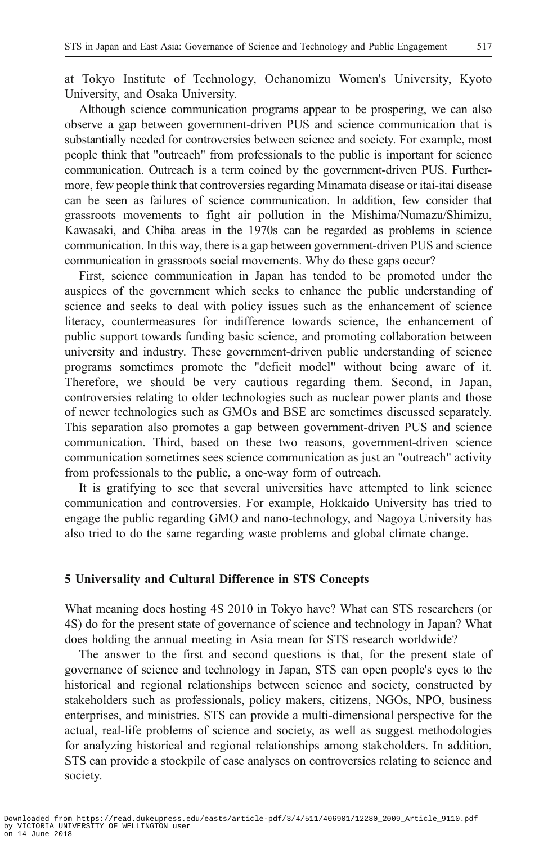at Tokyo Institute of Technology, Ochanomizu Women's University, Kyoto University, and Osaka University.

Although science communication programs appear to be prospering, we can also observe a gap between government-driven PUS and science communication that is substantially needed for controversies between science and society. For example, most people think that "outreach" from professionals to the public is important for science communication. Outreach is a term coined by the government-driven PUS. Furthermore, few people think that controversies regarding Minamata disease or itai-itai disease can be seen as failures of science communication. In addition, few consider that grassroots movements to fight air pollution in the Mishima/Numazu/Shimizu, Kawasaki, and Chiba areas in the 1970s can be regarded as problems in science communication. In this way, there is a gap between government-driven PUS and science communication in grassroots social movements. Why do these gaps occur?

First, science communication in Japan has tended to be promoted under the auspices of the government which seeks to enhance the public understanding of science and seeks to deal with policy issues such as the enhancement of science literacy, countermeasures for indifference towards science, the enhancement of public support towards funding basic science, and promoting collaboration between university and industry. These government-driven public understanding of science programs sometimes promote the "deficit model" without being aware of it. Therefore, we should be very cautious regarding them. Second, in Japan, controversies relating to older technologies such as nuclear power plants and those of newer technologies such as GMOs and BSE are sometimes discussed separately. This separation also promotes a gap between government-driven PUS and science communication. Third, based on these two reasons, government-driven science communication sometimes sees science communication as just an "outreach" activity from professionals to the public, a one-way form of outreach.

It is gratifying to see that several universities have attempted to link science communication and controversies. For example, Hokkaido University has tried to engage the public regarding GMO and nano-technology, and Nagoya University has also tried to do the same regarding waste problems and global climate change.

#### 5 Universality and Cultural Difference in STS Concepts

What meaning does hosting 4S 2010 in Tokyo have? What can STS researchers (or 4S) do for the present state of governance of science and technology in Japan? What does holding the annual meeting in Asia mean for STS research worldwide?

The answer to the first and second questions is that, for the present state of governance of science and technology in Japan, STS can open people's eyes to the historical and regional relationships between science and society, constructed by stakeholders such as professionals, policy makers, citizens, NGOs, NPO, business enterprises, and ministries. STS can provide a multi-dimensional perspective for the actual, real-life problems of science and society, as well as suggest methodologies for analyzing historical and regional relationships among stakeholders. In addition, STS can provide a stockpile of case analyses on controversies relating to science and society.